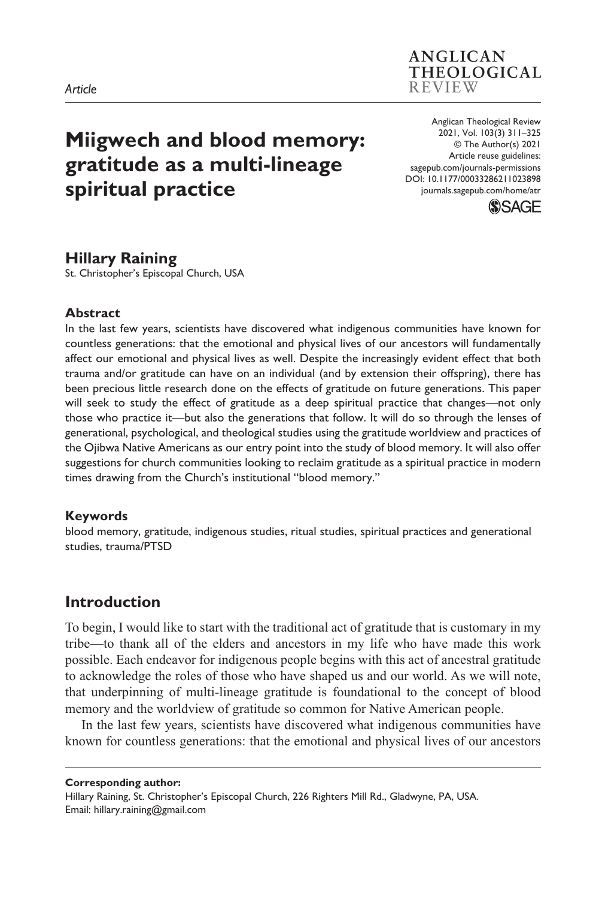# **Miigwech and blood memory: gratitude as a multi-lineage spiritual practice**

DOI: 10.1177/00033286211023898 Anglican Theological Review 2021, Vol. 103(3) 311–325 © The Author(s) 2021 Article reuse guidelines: [sagepub.com/journals-permissions](https://uk.sagepub.com/en-gb/journals-permissions) [journals.sagepub.com/home/atr](http://journals.sagepub.com/home/atr)

**ANGLICAN** THEOLOGICAL

**REVIEW** 



## **Hillary Raining**

St. Christopher's Episcopal Church, USA

#### **Abstract**

In the last few years, scientists have discovered what indigenous communities have known for countless generations: that the emotional and physical lives of our ancestors will fundamentally affect our emotional and physical lives as well. Despite the increasingly evident effect that both trauma and/or gratitude can have on an individual (and by extension their offspring), there has been precious little research done on the effects of gratitude on future generations. This paper will seek to study the effect of gratitude as a deep spiritual practice that changes—not only those who practice it—but also the generations that follow. It will do so through the lenses of generational, psychological, and theological studies using the gratitude worldview and practices of the Ojibwa Native Americans as our entry point into the study of blood memory. It will also offer suggestions for church communities looking to reclaim gratitude as a spiritual practice in modern times drawing from the Church's institutional "blood memory."

## **Keywords**

blood memory, gratitude, indigenous studies, ritual studies, spiritual practices and generational studies, trauma/PTSD

## **Introduction**

To begin, I would like to start with the traditional act of gratitude that is customary in my tribe—to thank all of the elders and ancestors in my life who have made this work possible. Each endeavor for indigenous people begins with this act of ancestral gratitude to acknowledge the roles of those who have shaped us and our world. As we will note, that underpinning of multi-lineage gratitude is foundational to the concept of blood memory and the worldview of gratitude so common for Native American people.

In the last few years, scientists have discovered what indigenous communities have known for countless generations: that the emotional and physical lives of our ancestors

**Corresponding author:** Hillary Raining, St. Christopher's Episcopal Church, 226 Righters Mill Rd., Gladwyne, PA, USA. Email: [hillary.raining@gmail.com](mailto:hillary.raining@gmail.com)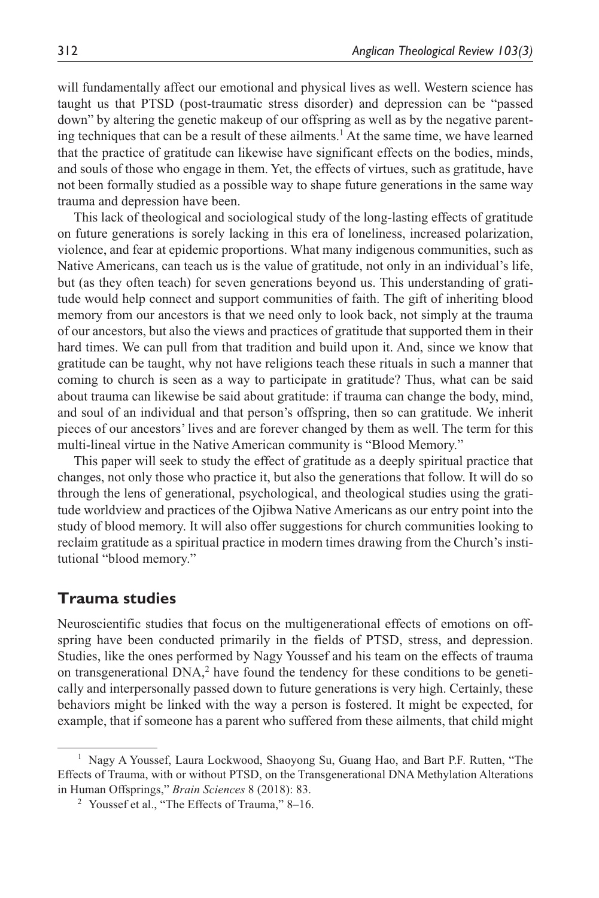will fundamentally affect our emotional and physical lives as well. Western science has taught us that PTSD (post-traumatic stress disorder) and depression can be "passed down" by altering the genetic makeup of our offspring as well as by the negative parenting techniques that can be a result of these ailments.<sup>1</sup> At the same time, we have learned that the practice of gratitude can likewise have significant effects on the bodies, minds, and souls of those who engage in them. Yet, the effects of virtues, such as gratitude, have not been formally studied as a possible way to shape future generations in the same way trauma and depression have been.

This lack of theological and sociological study of the long-lasting effects of gratitude on future generations is sorely lacking in this era of loneliness, increased polarization, violence, and fear at epidemic proportions. What many indigenous communities, such as Native Americans, can teach us is the value of gratitude, not only in an individual's life, but (as they often teach) for seven generations beyond us. This understanding of gratitude would help connect and support communities of faith. The gift of inheriting blood memory from our ancestors is that we need only to look back, not simply at the trauma of our ancestors, but also the views and practices of gratitude that supported them in their hard times. We can pull from that tradition and build upon it. And, since we know that gratitude can be taught, why not have religions teach these rituals in such a manner that coming to church is seen as a way to participate in gratitude? Thus, what can be said about trauma can likewise be said about gratitude: if trauma can change the body, mind, and soul of an individual and that person's offspring, then so can gratitude. We inherit pieces of our ancestors' lives and are forever changed by them as well. The term for this multi-lineal virtue in the Native American community is "Blood Memory."

This paper will seek to study the effect of gratitude as a deeply spiritual practice that changes, not only those who practice it, but also the generations that follow. It will do so through the lens of generational, psychological, and theological studies using the gratitude worldview and practices of the Ojibwa Native Americans as our entry point into the study of blood memory. It will also offer suggestions for church communities looking to reclaim gratitude as a spiritual practice in modern times drawing from the Church's institutional "blood memory."

## **Trauma studies**

Neuroscientific studies that focus on the multigenerational effects of emotions on offspring have been conducted primarily in the fields of PTSD, stress, and depression. Studies, like the ones performed by Nagy Youssef and his team on the effects of trauma on transgenerational DNA,<sup>2</sup> have found the tendency for these conditions to be genetically and interpersonally passed down to future generations is very high. Certainly, these behaviors might be linked with the way a person is fostered. It might be expected, for example, that if someone has a parent who suffered from these ailments, that child might

<sup>1</sup> Nagy A Youssef, Laura Lockwood, Shaoyong Su, Guang Hao, and Bart P.F. Rutten, "The Effects of Trauma, with or without PTSD, on the Transgenerational DNA Methylation Alterations in Human Offsprings," *Brain Sciences* 8 (2018): 83.

<sup>&</sup>lt;sup>2</sup> Youssef et al., "The Effects of Trauma," 8–16.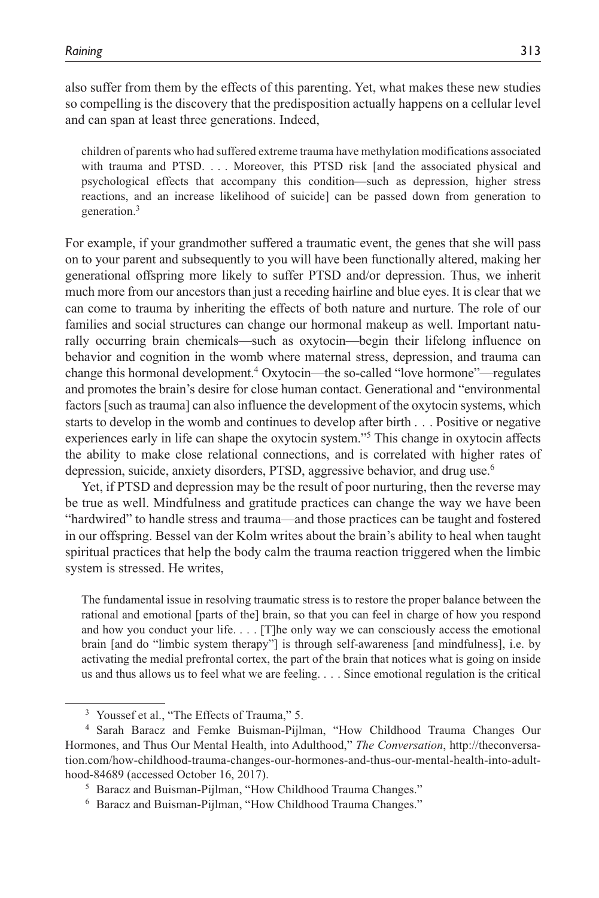also suffer from them by the effects of this parenting. Yet, what makes these new studies so compelling is the discovery that the predisposition actually happens on a cellular level and can span at least three generations. Indeed,

children of parents who had suffered extreme trauma have methylation modifications associated with trauma and PTSD. . . . Moreover, this PTSD risk [and the associated physical and psychological effects that accompany this condition—such as depression, higher stress reactions, and an increase likelihood of suicide] can be passed down from generation to generation.<sup>3</sup>

For example, if your grandmother suffered a traumatic event, the genes that she will pass on to your parent and subsequently to you will have been functionally altered, making her generational offspring more likely to suffer PTSD and/or depression. Thus, we inherit much more from our ancestors than just a receding hairline and blue eyes. It is clear that we can come to trauma by inheriting the effects of both nature and nurture. The role of our families and social structures can change our hormonal makeup as well. Important naturally occurring brain chemicals—such as oxytocin—begin their lifelong influence on behavior and cognition in the womb where maternal stress, depression, and trauma can change this hormonal development.<sup>4</sup> Oxytocin—the so-called "love hormone"—regulates and promotes the brain's desire for close human contact. Generational and "environmental factors [such as trauma] can also influence the development of the oxytocin systems, which starts to develop in the womb and continues to develop after birth . . . Positive or negative experiences early in life can shape the oxytocin system."<sup>5</sup> This change in oxytocin affects the ability to make close relational connections, and is correlated with higher rates of depression, suicide, anxiety disorders, PTSD, aggressive behavior, and drug use.6

Yet, if PTSD and depression may be the result of poor nurturing, then the reverse may be true as well. Mindfulness and gratitude practices can change the way we have been "hardwired" to handle stress and trauma—and those practices can be taught and fostered in our offspring. Bessel van der Kolm writes about the brain's ability to heal when taught spiritual practices that help the body calm the trauma reaction triggered when the limbic system is stressed. He writes,

The fundamental issue in resolving traumatic stress is to restore the proper balance between the rational and emotional [parts of the] brain, so that you can feel in charge of how you respond and how you conduct your life. . . . [T]he only way we can consciously access the emotional brain [and do "limbic system therapy"] is through self-awareness [and mindfulness], i.e. by activating the medial prefrontal cortex, the part of the brain that notices what is going on inside us and thus allows us to feel what we are feeling. . . . Since emotional regulation is the critical

<sup>&</sup>lt;sup>3</sup> Youssef et al., "The Effects of Trauma," 5.

<sup>4</sup> Sarah Baracz and Femke Buisman-Pijlman, "How Childhood Trauma Changes Our Hormones, and Thus Our Mental Health, into Adulthood," *The Conversation*, [http://theconversa](http://theconversation.com/how-childhood-trauma-changes-our-hormones-and-thus-our-mental-health-into-adulthood-84689)[tion.com/how-childhood-trauma-changes-our-hormones-and-thus-our-mental-health-into-adult](http://theconversation.com/how-childhood-trauma-changes-our-hormones-and-thus-our-mental-health-into-adulthood-84689)[hood-84689](http://theconversation.com/how-childhood-trauma-changes-our-hormones-and-thus-our-mental-health-into-adulthood-84689) (accessed October 16, 2017).

<sup>5</sup> Baracz and Buisman-Pijlman, "How Childhood Trauma Changes."

<sup>6</sup> Baracz and Buisman-Pijlman, "How Childhood Trauma Changes."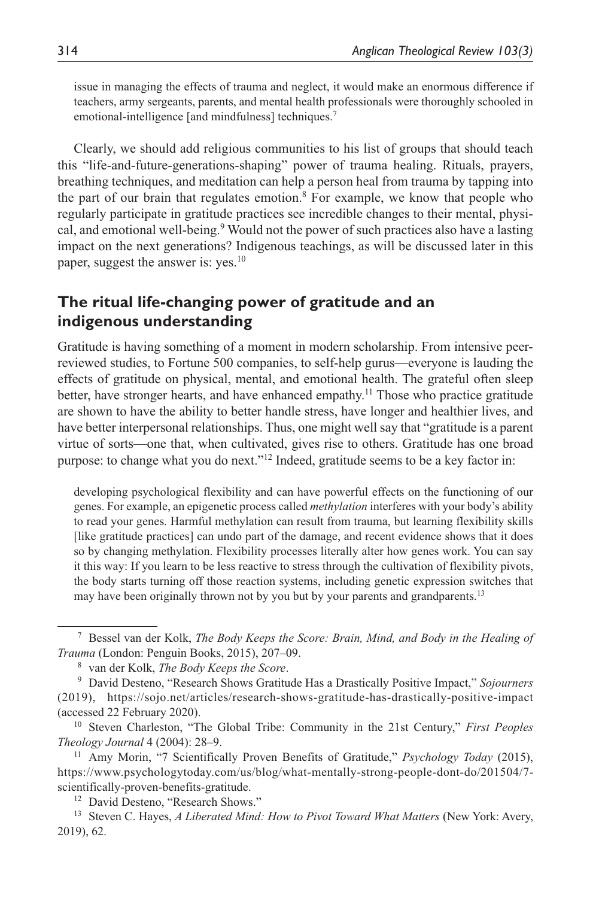issue in managing the effects of trauma and neglect, it would make an enormous difference if teachers, army sergeants, parents, and mental health professionals were thoroughly schooled in emotional-intelligence [and mindfulness] techniques.<sup>7</sup>

Clearly, we should add religious communities to his list of groups that should teach this "life-and-future-generations-shaping" power of trauma healing. Rituals, prayers, breathing techniques, and meditation can help a person heal from trauma by tapping into the part of our brain that regulates emotion.<sup>8</sup> For example, we know that people who regularly participate in gratitude practices see incredible changes to their mental, physical, and emotional well-being.<sup>9</sup> Would not the power of such practices also have a lasting impact on the next generations? Indigenous teachings, as will be discussed later in this paper, suggest the answer is: yes.<sup>10</sup>

## **The ritual life-changing power of gratitude and an indigenous understanding**

Gratitude is having something of a moment in modern scholarship. From intensive peerreviewed studies, to Fortune 500 companies, to self-help gurus—everyone is lauding the effects of gratitude on physical, mental, and emotional health. The grateful often sleep better, have stronger hearts, and have enhanced empathy.<sup>11</sup> Those who practice gratitude are shown to have the ability to better handle stress, have longer and healthier lives, and have better interpersonal relationships. Thus, one might well say that "gratitude is a parent virtue of sorts—one that, when cultivated, gives rise to others. Gratitude has one broad purpose: to change what you do next."<sup>12</sup> Indeed, gratitude seems to be a key factor in:

developing psychological flexibility and can have powerful effects on the functioning of our genes. For example, an epigenetic process called *methylation* interferes with your body's ability to read your genes. Harmful methylation can result from trauma, but learning flexibility skills [like gratitude practices] can undo part of the damage, and recent evidence shows that it does so by changing methylation. Flexibility processes literally alter how genes work. You can say it this way: If you learn to be less reactive to stress through the cultivation of flexibility pivots, the body starts turning off those reaction systems, including genetic expression switches that may have been originally thrown not by you but by your parents and grandparents.<sup>13</sup>

<sup>7</sup> Bessel van der Kolk, *The Body Keeps the Score: Brain, Mind, and Body in the Healing of Trauma* (London: Penguin Books, 2015), 207–09.

<sup>8</sup> van der Kolk, *The Body Keeps the Score*.

<sup>9</sup> David Desteno, "Research Shows Gratitude Has a Drastically Positive Impact," *Sojourners* (2019), <https://sojo.net/articles/research-shows-gratitude-has-drastically-positive-impact> (accessed 22 February 2020).

<sup>10</sup> Steven Charleston, "The Global Tribe: Community in the 21st Century," *First Peoples Theology Journal* 4 (2004): 28–9.

<sup>11</sup> Amy Morin, "7 Scientifically Proven Benefits of Gratitude," *Psychology Today* (2015), [https://www.psychologytoday.com/us/blog/what-mentally-strong-people-dont-do/201504/7](https://www.psychologytoday.com/us/blog/what-mentally-strong-people-dont-do/201504/7-scientifically-proven-benefits-gratitude) [scientifically-proven-benefits-gratitude](https://www.psychologytoday.com/us/blog/what-mentally-strong-people-dont-do/201504/7-scientifically-proven-benefits-gratitude).

<sup>&</sup>lt;sup>12</sup> David Desteno, "Research Shows."

<sup>13</sup> Steven C. Hayes, *A Liberated Mind: How to Pivot Toward What Matters* (New York: Avery, 2019), 62.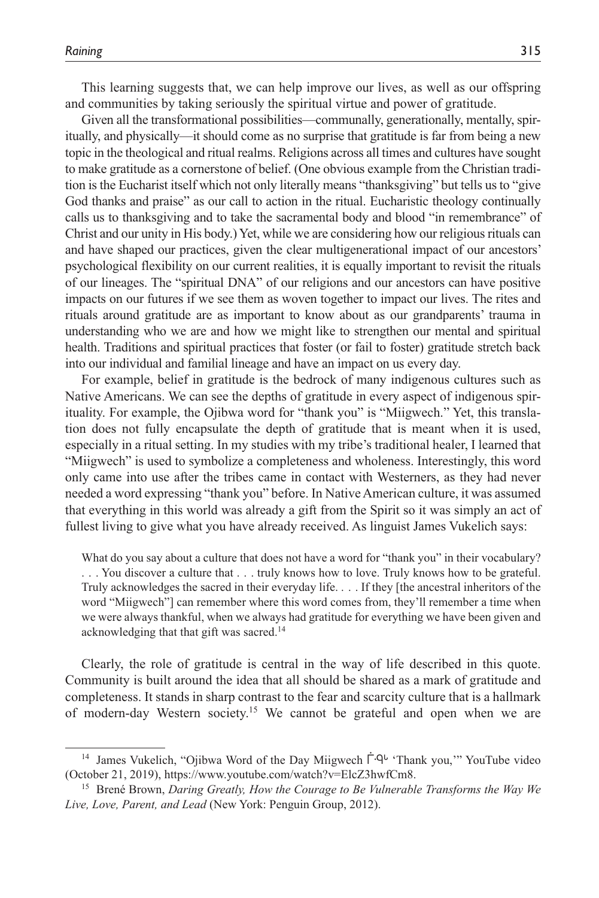This learning suggests that, we can help improve our lives, as well as our offspring and communities by taking seriously the spiritual virtue and power of gratitude.

Given all the transformational possibilities—communally, generationally, mentally, spiritually, and physically—it should come as no surprise that gratitude is far from being a new topic in the theological and ritual realms. Religions across all times and cultures have sought to make gratitude as a cornerstone of belief. (One obvious example from the Christian tradition is the Eucharist itself which not only literally means "thanksgiving" but tells us to "give God thanks and praise" as our call to action in the ritual. Eucharistic theology continually calls us to thanksgiving and to take the sacramental body and blood "in remembrance" of Christ and our unity in His body.) Yet, while we are considering how our religious rituals can and have shaped our practices, given the clear multigenerational impact of our ancestors' psychological flexibility on our current realities, it is equally important to revisit the rituals of our lineages. The "spiritual DNA" of our religions and our ancestors can have positive impacts on our futures if we see them as woven together to impact our lives. The rites and rituals around gratitude are as important to know about as our grandparents' trauma in understanding who we are and how we might like to strengthen our mental and spiritual health. Traditions and spiritual practices that foster (or fail to foster) gratitude stretch back into our individual and familial lineage and have an impact on us every day.

For example, belief in gratitude is the bedrock of many indigenous cultures such as Native Americans. We can see the depths of gratitude in every aspect of indigenous spirituality. For example, the Ojibwa word for "thank you" is "Miigwech." Yet, this translation does not fully encapsulate the depth of gratitude that is meant when it is used, especially in a ritual setting. In my studies with my tribe's traditional healer, I learned that "Miigwech" is used to symbolize a completeness and wholeness. Interestingly, this word only came into use after the tribes came in contact with Westerners, as they had never needed a word expressing "thank you" before. In Native American culture, it was assumed that everything in this world was already a gift from the Spirit so it was simply an act of fullest living to give what you have already received. As linguist James Vukelich says:

What do you say about a culture that does not have a word for "thank you" in their vocabulary? . . . You discover a culture that . . . truly knows how to love. Truly knows how to be grateful. Truly acknowledges the sacred in their everyday life. . . . If they [the ancestral inheritors of the word "Miigwech"] can remember where this word comes from, they'll remember a time when we were always thankful, when we always had gratitude for everything we have been given and acknowledging that that gift was sacred.<sup>14</sup>

Clearly, the role of gratitude is central in the way of life described in this quote. Community is built around the idea that all should be shared as a mark of gratitude and completeness. It stands in sharp contrast to the fear and scarcity culture that is a hallmark of modern-day Western society.15 We cannot be grateful and open when we are

<sup>&</sup>lt;sup>14</sup> James Vukelich, "Ojibwa Word of the Day Miigwech  $\dot{\Gamma}$ -Q<sup>t</sup> 'Thank you,'" YouTube video (October 21, 2019),<https://www.youtube.com/watch?v=ElcZ3hwfCm8>.

<sup>15</sup> Brené Brown, *Daring Greatly, How the Courage to Be Vulnerable Transforms the Way We Live, Love, Parent, and Lead* (New York: Penguin Group, 2012).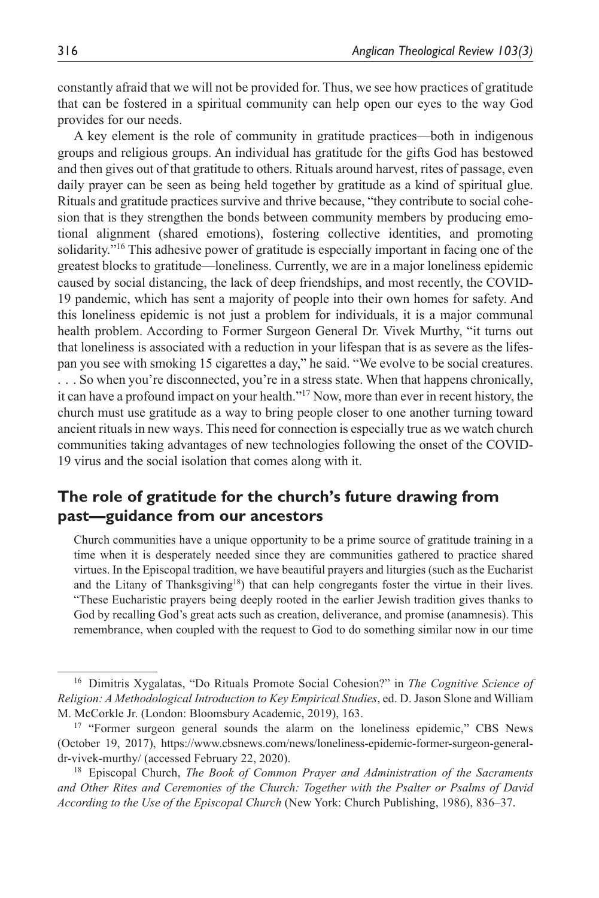constantly afraid that we will not be provided for. Thus, we see how practices of gratitude that can be fostered in a spiritual community can help open our eyes to the way God provides for our needs.

A key element is the role of community in gratitude practices—both in indigenous groups and religious groups. An individual has gratitude for the gifts God has bestowed and then gives out of that gratitude to others. Rituals around harvest, rites of passage, even daily prayer can be seen as being held together by gratitude as a kind of spiritual glue. Rituals and gratitude practices survive and thrive because, "they contribute to social cohesion that is they strengthen the bonds between community members by producing emotional alignment (shared emotions), fostering collective identities, and promoting solidarity."16 This adhesive power of gratitude is especially important in facing one of the greatest blocks to gratitude—loneliness. Currently, we are in a major loneliness epidemic caused by social distancing, the lack of deep friendships, and most recently, the COVID-19 pandemic, which has sent a majority of people into their own homes for safety. And this loneliness epidemic is not just a problem for individuals, it is a major communal health problem. According to Former Surgeon General Dr. Vivek Murthy, "it turns out that loneliness is associated with a reduction in your lifespan that is as severe as the lifespan you see with smoking 15 cigarettes a day," he said. "We evolve to be social creatures. . . . So when you're disconnected, you're in a stress state. When that happens chronically, it can have a profound impact on your health."17 Now, more than ever in recent history, the church must use gratitude as a way to bring people closer to one another turning toward ancient rituals in new ways. This need for connection is especially true as we watch church communities taking advantages of new technologies following the onset of the COVID-19 virus and the social isolation that comes along with it.

## **The role of gratitude for the church's future drawing from past—guidance from our ancestors**

Church communities have a unique opportunity to be a prime source of gratitude training in a time when it is desperately needed since they are communities gathered to practice shared virtues. In the Episcopal tradition, we have beautiful prayers and liturgies (such as the Eucharist and the Litany of Thanksgiving<sup>18</sup>) that can help congregants foster the virtue in their lives. "These Eucharistic prayers being deeply rooted in the earlier Jewish tradition gives thanks to God by recalling God's great acts such as creation, deliverance, and promise (anamnesis). This remembrance, when coupled with the request to God to do something similar now in our time

<sup>16</sup> Dimitris Xygalatas, "Do Rituals Promote Social Cohesion?" in *The Cognitive Science of Religion: A Methodological Introduction to Key Empirical Studies*, ed. D. Jason Slone and William M. McCorkle Jr. (London: Bloomsbury Academic, 2019), 163.

<sup>&</sup>lt;sup>17</sup> "Former surgeon general sounds the alarm on the loneliness epidemic," CBS News (October 19, 2017), [https://www.cbsnews.com/news/loneliness-epidemic-former-surgeon-general](https://www.cbsnews.com/news/loneliness-epidemic-former-surgeon-general-dr-vivek-murthy/)[dr-vivek-murthy/](https://www.cbsnews.com/news/loneliness-epidemic-former-surgeon-general-dr-vivek-murthy/) (accessed February 22, 2020).

<sup>18</sup> Episcopal Church, *The Book of Common Prayer and Administration of the Sacraments and Other Rites and Ceremonies of the Church: Together with the Psalter or Psalms of David According to the Use of the Episcopal Church* (New York: Church Publishing, 1986), 836–37.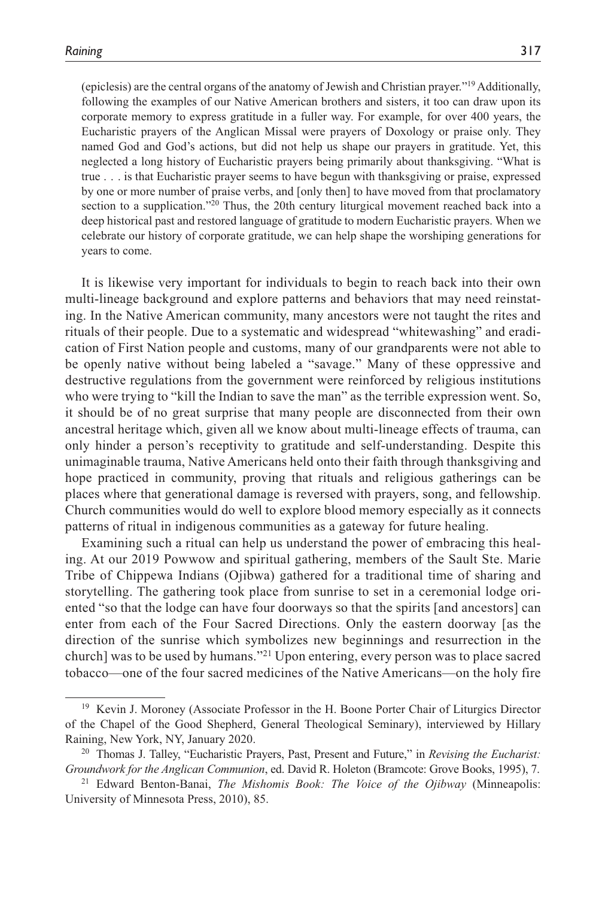(epiclesis) are the central organs of the anatomy of Jewish and Christian prayer."19 Additionally, following the examples of our Native American brothers and sisters, it too can draw upon its corporate memory to express gratitude in a fuller way. For example, for over 400 years, the Eucharistic prayers of the Anglican Missal were prayers of Doxology or praise only. They named God and God's actions, but did not help us shape our prayers in gratitude. Yet, this neglected a long history of Eucharistic prayers being primarily about thanksgiving. "What is true . . . is that Eucharistic prayer seems to have begun with thanksgiving or praise, expressed by one or more number of praise verbs, and [only then] to have moved from that proclamatory section to a supplication."<sup>20</sup> Thus, the 20th century liturgical movement reached back into a deep historical past and restored language of gratitude to modern Eucharistic prayers. When we celebrate our history of corporate gratitude, we can help shape the worshiping generations for years to come.

It is likewise very important for individuals to begin to reach back into their own multi-lineage background and explore patterns and behaviors that may need reinstating. In the Native American community, many ancestors were not taught the rites and rituals of their people. Due to a systematic and widespread "whitewashing" and eradication of First Nation people and customs, many of our grandparents were not able to be openly native without being labeled a "savage." Many of these oppressive and destructive regulations from the government were reinforced by religious institutions who were trying to "kill the Indian to save the man" as the terrible expression went. So, it should be of no great surprise that many people are disconnected from their own ancestral heritage which, given all we know about multi-lineage effects of trauma, can only hinder a person's receptivity to gratitude and self-understanding. Despite this unimaginable trauma, Native Americans held onto their faith through thanksgiving and hope practiced in community, proving that rituals and religious gatherings can be places where that generational damage is reversed with prayers, song, and fellowship. Church communities would do well to explore blood memory especially as it connects patterns of ritual in indigenous communities as a gateway for future healing.

Examining such a ritual can help us understand the power of embracing this healing. At our 2019 Powwow and spiritual gathering, members of the Sault Ste. Marie Tribe of Chippewa Indians (Ojibwa) gathered for a traditional time of sharing and storytelling. The gathering took place from sunrise to set in a ceremonial lodge oriented "so that the lodge can have four doorways so that the spirits [and ancestors] can enter from each of the Four Sacred Directions. Only the eastern doorway [as the direction of the sunrise which symbolizes new beginnings and resurrection in the church] was to be used by humans."21 Upon entering, every person was to place sacred tobacco—one of the four sacred medicines of the Native Americans—on the holy fire

<sup>&</sup>lt;sup>19</sup> Kevin J. Moroney (Associate Professor in the H. Boone Porter Chair of Liturgics Director of the Chapel of the Good Shepherd, General Theological Seminary), interviewed by Hillary Raining, New York, NY, January 2020.

<sup>20</sup> Thomas J. Talley, "Eucharistic Prayers, Past, Present and Future," in *Revising the Eucharist: Groundwork for the Anglican Communion*, ed. David R. Holeton (Bramcote: Grove Books, 1995), 7.

<sup>21</sup> Edward Benton-Banai, *The Mishomis Book: The Voice of the Ojibway* (Minneapolis: University of Minnesota Press, 2010), 85.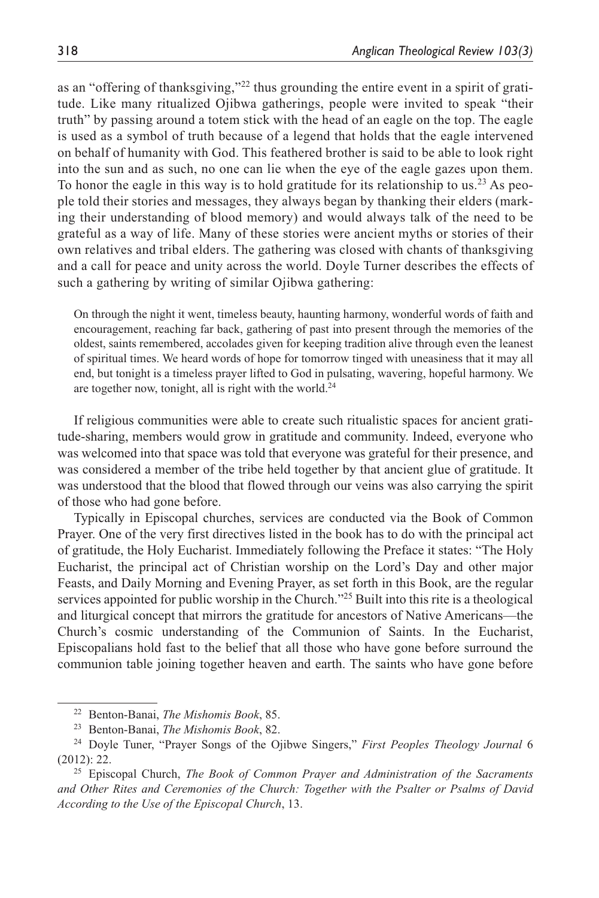as an "offering of thanksgiving,"22 thus grounding the entire event in a spirit of gratitude. Like many ritualized Ojibwa gatherings, people were invited to speak "their truth" by passing around a totem stick with the head of an eagle on the top. The eagle is used as a symbol of truth because of a legend that holds that the eagle intervened on behalf of humanity with God. This feathered brother is said to be able to look right into the sun and as such, no one can lie when the eye of the eagle gazes upon them. To honor the eagle in this way is to hold gratitude for its relationship to us.<sup>23</sup> As people told their stories and messages, they always began by thanking their elders (marking their understanding of blood memory) and would always talk of the need to be grateful as a way of life. Many of these stories were ancient myths or stories of their own relatives and tribal elders. The gathering was closed with chants of thanksgiving and a call for peace and unity across the world. Doyle Turner describes the effects of such a gathering by writing of similar Ojibwa gathering:

On through the night it went, timeless beauty, haunting harmony, wonderful words of faith and encouragement, reaching far back, gathering of past into present through the memories of the oldest, saints remembered, accolades given for keeping tradition alive through even the leanest of spiritual times. We heard words of hope for tomorrow tinged with uneasiness that it may all end, but tonight is a timeless prayer lifted to God in pulsating, wavering, hopeful harmony. We are together now, tonight, all is right with the world.<sup>24</sup>

If religious communities were able to create such ritualistic spaces for ancient gratitude-sharing, members would grow in gratitude and community. Indeed, everyone who was welcomed into that space was told that everyone was grateful for their presence, and was considered a member of the tribe held together by that ancient glue of gratitude. It was understood that the blood that flowed through our veins was also carrying the spirit of those who had gone before.

Typically in Episcopal churches, services are conducted via the Book of Common Prayer. One of the very first directives listed in the book has to do with the principal act of gratitude, the Holy Eucharist. Immediately following the Preface it states: "The Holy Eucharist, the principal act of Christian worship on the Lord's Day and other major Feasts, and Daily Morning and Evening Prayer, as set forth in this Book, are the regular services appointed for public worship in the Church."<sup>25</sup> Built into this rite is a theological and liturgical concept that mirrors the gratitude for ancestors of Native Americans—the Church's cosmic understanding of the Communion of Saints. In the Eucharist, Episcopalians hold fast to the belief that all those who have gone before surround the communion table joining together heaven and earth. The saints who have gone before

<sup>22</sup> Benton-Banai, *The Mishomis Book*, 85.

<sup>23</sup> Benton-Banai, *The Mishomis Book*, 82.

<sup>24</sup> Doyle Tuner, "Prayer Songs of the Ojibwe Singers," *First Peoples Theology Journal* 6 (2012): 22.

<sup>25</sup> Episcopal Church, *The Book of Common Prayer and Administration of the Sacraments and Other Rites and Ceremonies of the Church: Together with the Psalter or Psalms of David According to the Use of the Episcopal Church*, 13.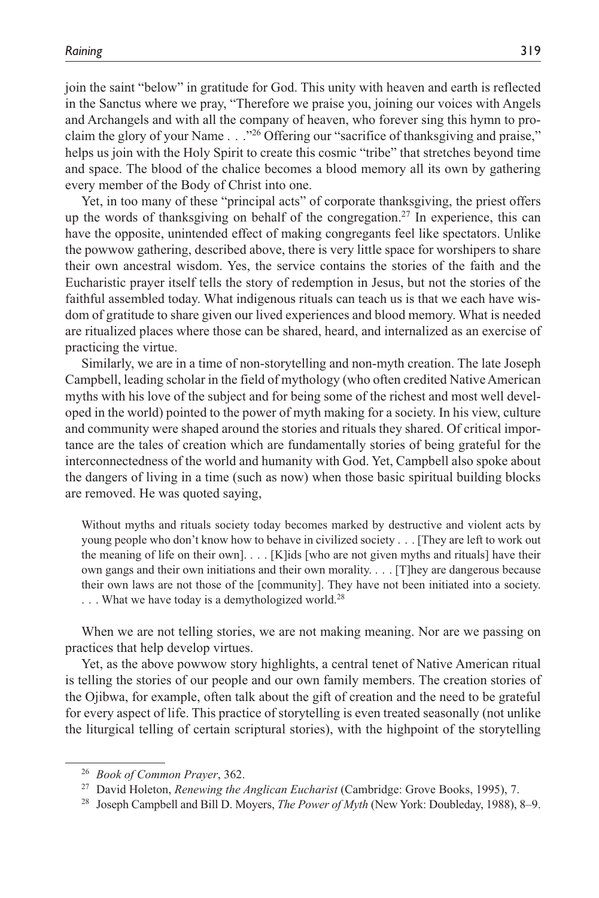join the saint "below" in gratitude for God. This unity with heaven and earth is reflected in the Sanctus where we pray, "Therefore we praise you, joining our voices with Angels and Archangels and with all the company of heaven, who forever sing this hymn to proclaim the glory of your Name . . ."26 Offering our "sacrifice of thanksgiving and praise," helps us join with the Holy Spirit to create this cosmic "tribe" that stretches beyond time and space. The blood of the chalice becomes a blood memory all its own by gathering every member of the Body of Christ into one.

Yet, in too many of these "principal acts" of corporate thanksgiving, the priest offers up the words of thanksgiving on behalf of the congregation.27 In experience, this can have the opposite, unintended effect of making congregants feel like spectators. Unlike the powwow gathering, described above, there is very little space for worshipers to share their own ancestral wisdom. Yes, the service contains the stories of the faith and the Eucharistic prayer itself tells the story of redemption in Jesus, but not the stories of the faithful assembled today. What indigenous rituals can teach us is that we each have wisdom of gratitude to share given our lived experiences and blood memory. What is needed are ritualized places where those can be shared, heard, and internalized as an exercise of practicing the virtue.

Similarly, we are in a time of non-storytelling and non-myth creation. The late Joseph Campbell, leading scholar in the field of mythology (who often credited Native American myths with his love of the subject and for being some of the richest and most well developed in the world) pointed to the power of myth making for a society. In his view, culture and community were shaped around the stories and rituals they shared. Of critical importance are the tales of creation which are fundamentally stories of being grateful for the interconnectedness of the world and humanity with God. Yet, Campbell also spoke about the dangers of living in a time (such as now) when those basic spiritual building blocks are removed. He was quoted saying,

Without myths and rituals society today becomes marked by destructive and violent acts by young people who don't know how to behave in civilized society . . . [They are left to work out the meaning of life on their own]. . . . [K]ids [who are not given myths and rituals] have their own gangs and their own initiations and their own morality. . . . [T]hey are dangerous because their own laws are not those of the [community]. They have not been initiated into a society. ... What we have today is a demythologized world.<sup>28</sup>

When we are not telling stories, we are not making meaning. Nor are we passing on practices that help develop virtues.

Yet, as the above powwow story highlights, a central tenet of Native American ritual is telling the stories of our people and our own family members. The creation stories of the Ojibwa, for example, often talk about the gift of creation and the need to be grateful for every aspect of life. This practice of storytelling is even treated seasonally (not unlike the liturgical telling of certain scriptural stories), with the highpoint of the storytelling

<sup>26</sup> *Book of Common Prayer*, 362.

<sup>27</sup> David Holeton, *Renewing the Anglican Eucharist* (Cambridge: Grove Books, 1995), 7.

<sup>28</sup> Joseph Campbell and Bill D. Moyers, *The Power of Myth* (New York: Doubleday, 1988), 8–9.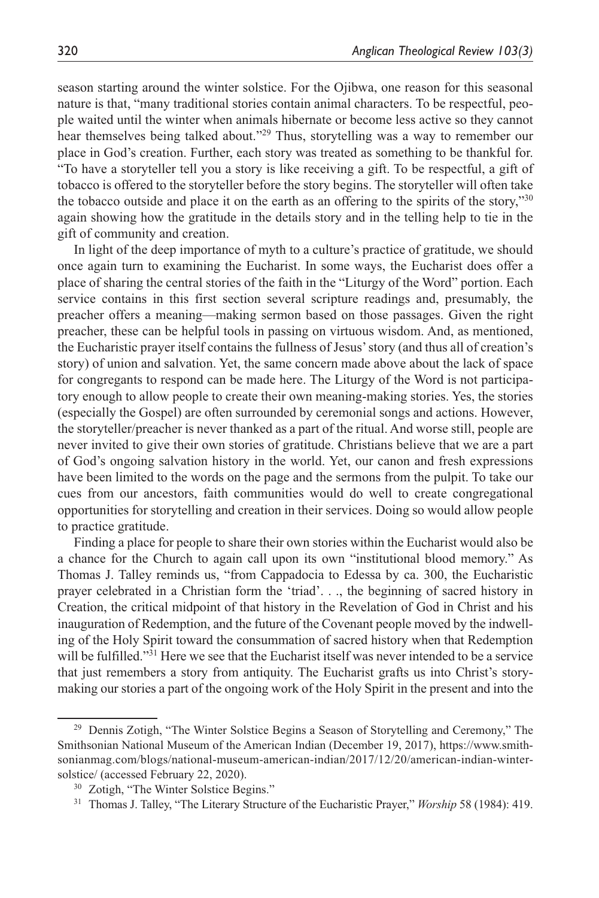season starting around the winter solstice. For the Ojibwa, one reason for this seasonal nature is that, "many traditional stories contain animal characters. To be respectful, people waited until the winter when animals hibernate or become less active so they cannot hear themselves being talked about."<sup>29</sup> Thus, storytelling was a way to remember our place in God's creation. Further, each story was treated as something to be thankful for. "To have a storyteller tell you a story is like receiving a gift. To be respectful, a gift of tobacco is offered to the storyteller before the story begins. The storyteller will often take the tobacco outside and place it on the earth as an offering to the spirits of the story,"<sup>30</sup> again showing how the gratitude in the details story and in the telling help to tie in the gift of community and creation.

In light of the deep importance of myth to a culture's practice of gratitude, we should once again turn to examining the Eucharist. In some ways, the Eucharist does offer a place of sharing the central stories of the faith in the "Liturgy of the Word" portion. Each service contains in this first section several scripture readings and, presumably, the preacher offers a meaning—making sermon based on those passages. Given the right preacher, these can be helpful tools in passing on virtuous wisdom. And, as mentioned, the Eucharistic prayer itself contains the fullness of Jesus' story (and thus all of creation's story) of union and salvation. Yet, the same concern made above about the lack of space for congregants to respond can be made here. The Liturgy of the Word is not participatory enough to allow people to create their own meaning-making stories. Yes, the stories (especially the Gospel) are often surrounded by ceremonial songs and actions. However, the storyteller/preacher is never thanked as a part of the ritual. And worse still, people are never invited to give their own stories of gratitude. Christians believe that we are a part of God's ongoing salvation history in the world. Yet, our canon and fresh expressions have been limited to the words on the page and the sermons from the pulpit. To take our cues from our ancestors, faith communities would do well to create congregational opportunities for storytelling and creation in their services. Doing so would allow people to practice gratitude.

Finding a place for people to share their own stories within the Eucharist would also be a chance for the Church to again call upon its own "institutional blood memory." As Thomas J. Talley reminds us, "from Cappadocia to Edessa by ca. 300, the Eucharistic prayer celebrated in a Christian form the 'triad'. . ., the beginning of sacred history in Creation, the critical midpoint of that history in the Revelation of God in Christ and his inauguration of Redemption, and the future of the Covenant people moved by the indwelling of the Holy Spirit toward the consummation of sacred history when that Redemption will be fulfilled."<sup>31</sup> Here we see that the Eucharist itself was never intended to be a service that just remembers a story from antiquity. The Eucharist grafts us into Christ's storymaking our stories a part of the ongoing work of the Holy Spirit in the present and into the

<sup>&</sup>lt;sup>29</sup> Dennis Zotigh, "The Winter Solstice Begins a Season of Storytelling and Ceremony," The Smithsonian National Museum of the American Indian (December 19, 2017), [https://www.smith](https://www.smithsonianmag.com/blogs/national-museum-american-indian/2017/12/20/american-indian-winter-solstice/)[sonianmag.com/blogs/national-museum-american-indian/2017/12/20/american-indian-winter](https://www.smithsonianmag.com/blogs/national-museum-american-indian/2017/12/20/american-indian-winter-solstice/)[solstice/](https://www.smithsonianmag.com/blogs/national-museum-american-indian/2017/12/20/american-indian-winter-solstice/) (accessed February 22, 2020).

<sup>30</sup> Zotigh, "The Winter Solstice Begins."

<sup>31</sup> Thomas J. Talley, "The Literary Structure of the Eucharistic Prayer," *Worship* 58 (1984): 419.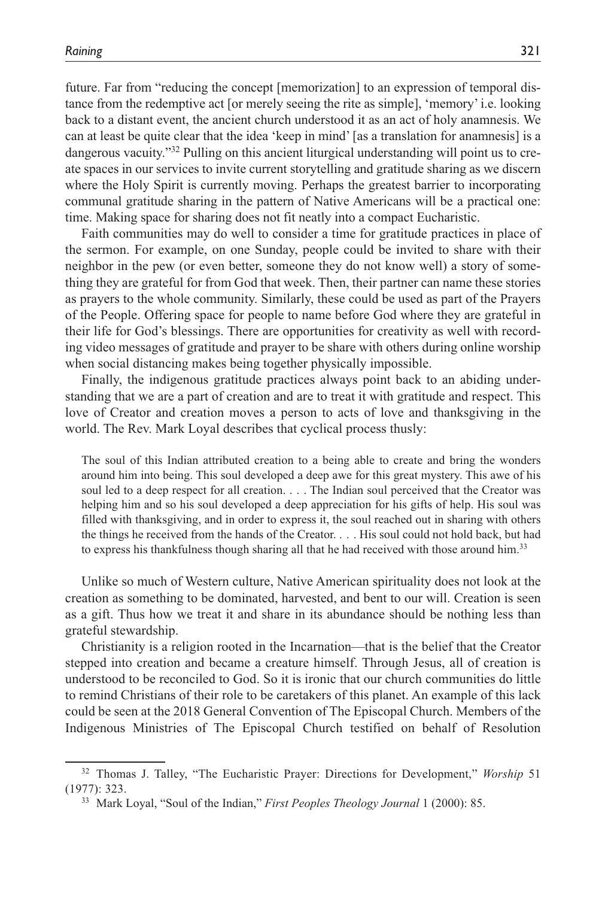future. Far from "reducing the concept [memorization] to an expression of temporal distance from the redemptive act [or merely seeing the rite as simple], 'memory' i.e. looking back to a distant event, the ancient church understood it as an act of holy anamnesis. We can at least be quite clear that the idea 'keep in mind' [as a translation for anamnesis] is a dangerous vacuity."32 Pulling on this ancient liturgical understanding will point us to create spaces in our services to invite current storytelling and gratitude sharing as we discern where the Holy Spirit is currently moving. Perhaps the greatest barrier to incorporating communal gratitude sharing in the pattern of Native Americans will be a practical one: time. Making space for sharing does not fit neatly into a compact Eucharistic.

Faith communities may do well to consider a time for gratitude practices in place of the sermon. For example, on one Sunday, people could be invited to share with their neighbor in the pew (or even better, someone they do not know well) a story of something they are grateful for from God that week. Then, their partner can name these stories as prayers to the whole community. Similarly, these could be used as part of the Prayers of the People. Offering space for people to name before God where they are grateful in their life for God's blessings. There are opportunities for creativity as well with recording video messages of gratitude and prayer to be share with others during online worship when social distancing makes being together physically impossible.

Finally, the indigenous gratitude practices always point back to an abiding understanding that we are a part of creation and are to treat it with gratitude and respect. This love of Creator and creation moves a person to acts of love and thanksgiving in the world. The Rev. Mark Loyal describes that cyclical process thusly:

The soul of this Indian attributed creation to a being able to create and bring the wonders around him into being. This soul developed a deep awe for this great mystery. This awe of his soul led to a deep respect for all creation. . . . The Indian soul perceived that the Creator was helping him and so his soul developed a deep appreciation for his gifts of help. His soul was filled with thanksgiving, and in order to express it, the soul reached out in sharing with others the things he received from the hands of the Creator. . . . His soul could not hold back, but had to express his thankfulness though sharing all that he had received with those around him.<sup>33</sup>

Unlike so much of Western culture, Native American spirituality does not look at the creation as something to be dominated, harvested, and bent to our will. Creation is seen as a gift. Thus how we treat it and share in its abundance should be nothing less than grateful stewardship.

Christianity is a religion rooted in the Incarnation—that is the belief that the Creator stepped into creation and became a creature himself. Through Jesus, all of creation is understood to be reconciled to God. So it is ironic that our church communities do little to remind Christians of their role to be caretakers of this planet. An example of this lack could be seen at the 2018 General Convention of The Episcopal Church. Members of the Indigenous Ministries of The Episcopal Church testified on behalf of Resolution

<sup>32</sup> Thomas J. Talley, "The Eucharistic Prayer: Directions for Development," *Worship* 51 (1977): 323.

<sup>33</sup> Mark Loyal, "Soul of the Indian," *First Peoples Theology Journal* 1 (2000): 85.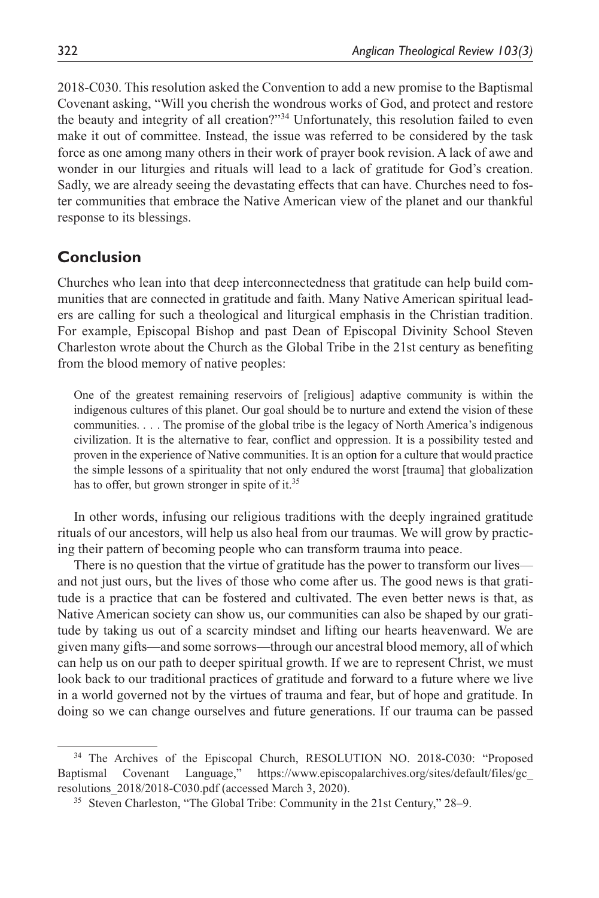2018-C030. This resolution asked the Convention to add a new promise to the Baptismal Covenant asking, "Will you cherish the wondrous works of God, and protect and restore the beauty and integrity of all creation?"34 Unfortunately, this resolution failed to even make it out of committee. Instead, the issue was referred to be considered by the task force as one among many others in their work of prayer book revision. A lack of awe and wonder in our liturgies and rituals will lead to a lack of gratitude for God's creation. Sadly, we are already seeing the devastating effects that can have. Churches need to foster communities that embrace the Native American view of the planet and our thankful response to its blessings.

## **Conclusion**

Churches who lean into that deep interconnectedness that gratitude can help build communities that are connected in gratitude and faith. Many Native American spiritual leaders are calling for such a theological and liturgical emphasis in the Christian tradition. For example, Episcopal Bishop and past Dean of Episcopal Divinity School Steven Charleston wrote about the Church as the Global Tribe in the 21st century as benefiting from the blood memory of native peoples:

One of the greatest remaining reservoirs of [religious] adaptive community is within the indigenous cultures of this planet. Our goal should be to nurture and extend the vision of these communities. . . . The promise of the global tribe is the legacy of North America's indigenous civilization. It is the alternative to fear, conflict and oppression. It is a possibility tested and proven in the experience of Native communities. It is an option for a culture that would practice the simple lessons of a spirituality that not only endured the worst [trauma] that globalization has to offer, but grown stronger in spite of it.<sup>35</sup>

In other words, infusing our religious traditions with the deeply ingrained gratitude rituals of our ancestors, will help us also heal from our traumas. We will grow by practicing their pattern of becoming people who can transform trauma into peace.

There is no question that the virtue of gratitude has the power to transform our lives and not just ours, but the lives of those who come after us. The good news is that gratitude is a practice that can be fostered and cultivated. The even better news is that, as Native American society can show us, our communities can also be shaped by our gratitude by taking us out of a scarcity mindset and lifting our hearts heavenward. We are given many gifts—and some sorrows—through our ancestral blood memory, all of which can help us on our path to deeper spiritual growth. If we are to represent Christ, we must look back to our traditional practices of gratitude and forward to a future where we live in a world governed not by the virtues of trauma and fear, but of hope and gratitude. In doing so we can change ourselves and future generations. If our trauma can be passed

<sup>&</sup>lt;sup>34</sup> The Archives of the Episcopal Church, RESOLUTION NO. 2018-C030: "Proposed Baptismal Covenant Language," [https://www.episcopalarchives.org/sites/default/files/gc\\_](https://www.episcopalarchives.org/sites/default/files/gc_resolutions_2018/2018-C030.pdf) [resolutions\\_2018/2018-C030.pdf](https://www.episcopalarchives.org/sites/default/files/gc_resolutions_2018/2018-C030.pdf) (accessed March 3, 2020).

<sup>35</sup> Steven Charleston, "The Global Tribe: Community in the 21st Century," 28–9.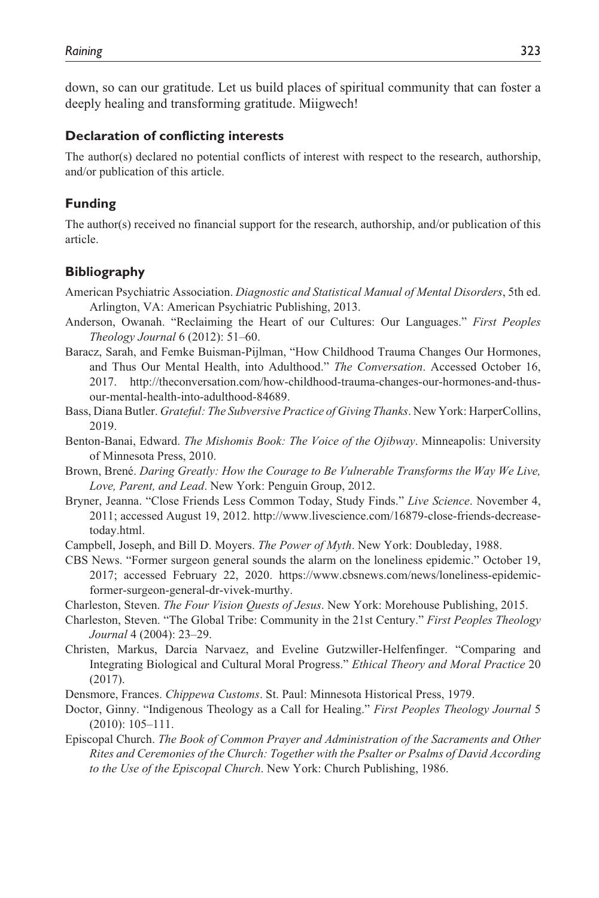down, so can our gratitude. Let us build places of spiritual community that can foster a deeply healing and transforming gratitude. Miigwech!

#### **Declaration of conflicting interests**

The author(s) declared no potential conflicts of interest with respect to the research, authorship, and/or publication of this article.

#### **Funding**

The author(s) received no financial support for the research, authorship, and/or publication of this article.

#### **Bibliography**

- American Psychiatric Association. *Diagnostic and Statistical Manual of Mental Disorders*, 5th ed. Arlington, VA: American Psychiatric Publishing, 2013.
- Anderson, Owanah. "Reclaiming the Heart of our Cultures: Our Languages." *First Peoples Theology Journal* 6 (2012): 51–60.
- Baracz, Sarah, and Femke Buisman-Pijlman, "How Childhood Trauma Changes Our Hormones, and Thus Our Mental Health, into Adulthood." *The Conversation*. Accessed October 16, 2017. [http://theconversation.com/how-childhood-trauma-changes-our-hormones-and-thus](http://theconversation.com/how-childhood-trauma-changes-our-hormones-and-thus-our-mental-health-into-adulthood-84689)[our-mental-health-into-adulthood-84689](http://theconversation.com/how-childhood-trauma-changes-our-hormones-and-thus-our-mental-health-into-adulthood-84689).
- Bass, Diana Butler. *Grateful: The Subversive Practice of Giving Thanks*. New York: HarperCollins, 2019.
- Benton-Banai, Edward. *The Mishomis Book: The Voice of the Ojibway*. Minneapolis: University of Minnesota Press, 2010.
- Brown, Brené. *Daring Greatly: How the Courage to Be Vulnerable Transforms the Way We Live, Love, Parent, and Lead*. New York: Penguin Group, 2012.
- Bryner, Jeanna. "Close Friends Less Common Today, Study Finds." *Live Science*. November 4, 2011; accessed August 19, 2012. [http://www.livescience.com/16879-close-friends-decrease](http://www.livescience.com/16879-close-friends-decrease-today.html)[today.html.](http://www.livescience.com/16879-close-friends-decrease-today.html)
- Campbell, Joseph, and Bill D. Moyers. *The Power of Myth*. New York: Doubleday, 1988.
- CBS News. "Former surgeon general sounds the alarm on the loneliness epidemic." October 19, 2017; accessed February 22, 2020. [https://www.cbsnews.com/news/loneliness-epidemic](https://www.cbsnews.com/news/loneliness-epidemic-former-surgeon-general-dr-vivek-murthy)[former-surgeon-general-dr-vivek-murthy](https://www.cbsnews.com/news/loneliness-epidemic-former-surgeon-general-dr-vivek-murthy).

Charleston, Steven. *The Four Vision Quests of Jesus*. New York: Morehouse Publishing, 2015.

- Charleston, Steven. "The Global Tribe: Community in the 21st Century." *First Peoples Theology Journal* 4 (2004): 23–29.
- Christen, Markus, Darcia Narvaez, and Eveline Gutzwiller-Helfenfinger. "Comparing and Integrating Biological and Cultural Moral Progress." *Ethical Theory and Moral Practice* 20 (2017).
- Densmore, Frances. *Chippewa Customs*. St. Paul: Minnesota Historical Press, 1979.
- Doctor, Ginny. "Indigenous Theology as a Call for Healing." *First Peoples Theology Journal* 5 (2010): 105–111.
- Episcopal Church. *The Book of Common Prayer and Administration of the Sacraments and Other Rites and Ceremonies of the Church: Together with the Psalter or Psalms of David According to the Use of the Episcopal Church*. New York: Church Publishing, 1986.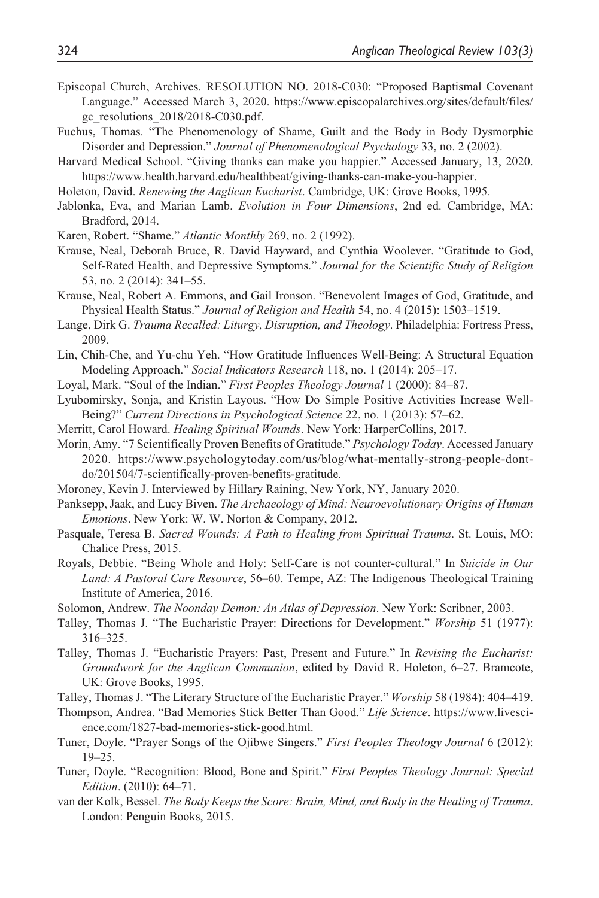- Episcopal Church, Archives. RESOLUTION NO. 2018-C030: "Proposed Baptismal Covenant Language." Accessed March 3, 2020. [https://www.episcopalarchives.org/sites/default/files/](https://www.episcopalarchives.org/sites/default/files/gc_resolutions_2018/2018-C030.pdf) [gc\\_resolutions\\_2018/2018-C030.pdf.](https://www.episcopalarchives.org/sites/default/files/gc_resolutions_2018/2018-C030.pdf)
- Fuchus, Thomas. "The Phenomenology of Shame, Guilt and the Body in Body Dysmorphic Disorder and Depression." *Journal of Phenomenological Psychology* 33, no. 2 (2002).
- Harvard Medical School. "Giving thanks can make you happier." Accessed January, 13, 2020. <https://www.health.harvard.edu/healthbeat/giving-thanks-can-make-you-happier>.
- Holeton, David. *Renewing the Anglican Eucharist*. Cambridge, UK: Grove Books, 1995.
- Jablonka, Eva, and Marian Lamb. *Evolution in Four Dimensions*, 2nd ed. Cambridge, MA: Bradford, 2014.
- Karen, Robert. "Shame." *Atlantic Monthly* 269, no. 2 (1992).
- Krause, Neal, Deborah Bruce, R. David Hayward, and Cynthia Woolever. "Gratitude to God, Self-Rated Health, and Depressive Symptoms." *Journal for the Scientific Study of Religion* 53, no. 2 (2014): 341–55.
- Krause, Neal, Robert A. Emmons, and Gail Ironson. "Benevolent Images of God, Gratitude, and Physical Health Status." *Journal of Religion and Health* 54, no. 4 (2015): 1503–1519.
- Lange, Dirk G. *Trauma Recalled: Liturgy, Disruption, and Theology*. Philadelphia: Fortress Press, 2009.
- Lin, Chih-Che, and Yu-chu Yeh. "How Gratitude Influences Well-Being: A Structural Equation Modeling Approach." *Social Indicators Research* 118, no. 1 (2014): 205–17.
- Loyal, Mark. "Soul of the Indian." *First Peoples Theology Journal* 1 (2000): 84–87.
- Lyubomirsky, Sonja, and Kristin Layous. "How Do Simple Positive Activities Increase Well-Being?" *Current Directions in Psychological Science* 22, no. 1 (2013): 57–62.
- Merritt, Carol Howard. *Healing Spiritual Wounds*. New York: HarperCollins, 2017.
- Morin, Amy. "7 Scientifically Proven Benefits of Gratitude." *Psychology Today*. Accessed January 2020. [https://www.psychologytoday.com/us/blog/what-mentally-strong-people-dont](https://www.psychologytoday.com/us/blog/what-mentally-strong-people-dont-do/201504/7-scientifically-proven-benefits-gratitude)[do/201504/7-scientifically-proven-benefits-gratitude.](https://www.psychologytoday.com/us/blog/what-mentally-strong-people-dont-do/201504/7-scientifically-proven-benefits-gratitude)
- Moroney, Kevin J. Interviewed by Hillary Raining, New York, NY, January 2020.
- Panksepp, Jaak, and Lucy Biven. *The Archaeology of Mind: Neuroevolutionary Origins of Human Emotions*. New York: W. W. Norton & Company, 2012.
- Pasquale, Teresa B. *Sacred Wounds: A Path to Healing from Spiritual Trauma*. St. Louis, MO: Chalice Press, 2015.
- Royals, Debbie. "Being Whole and Holy: Self-Care is not counter-cultural." In *Suicide in Our Land: A Pastoral Care Resource*, 56–60. Tempe, AZ: The Indigenous Theological Training Institute of America, 2016.
- Solomon, Andrew. *The Noonday Demon: An Atlas of Depression*. New York: Scribner, 2003.
- Talley, Thomas J. "The Eucharistic Prayer: Directions for Development." *Worship* 51 (1977): 316–325.
- Talley, Thomas J. "Eucharistic Prayers: Past, Present and Future." In *Revising the Eucharist: Groundwork for the Anglican Communion*, edited by David R. Holeton, 6–27. Bramcote, UK: Grove Books, 1995.
- Talley, Thomas J. "The Literary Structure of the Eucharistic Prayer." *Worship* 58 (1984): 404–419.
- Thompson, Andrea. "Bad Memories Stick Better Than Good." *Life Science*. [https://www.livesci](https://www.livescience.com/1827-bad-memories-stick-good.html)[ence.com/1827-bad-memories-stick-good.html](https://www.livescience.com/1827-bad-memories-stick-good.html).
- Tuner, Doyle. "Prayer Songs of the Ojibwe Singers." *First Peoples Theology Journal* 6 (2012): 19–25.
- Tuner, Doyle. "Recognition: Blood, Bone and Spirit." *First Peoples Theology Journal: Special Edition*. (2010): 64–71.
- van der Kolk, Bessel. *The Body Keeps the Score: Brain, Mind, and Body in the Healing of Trauma*. London: Penguin Books, 2015.